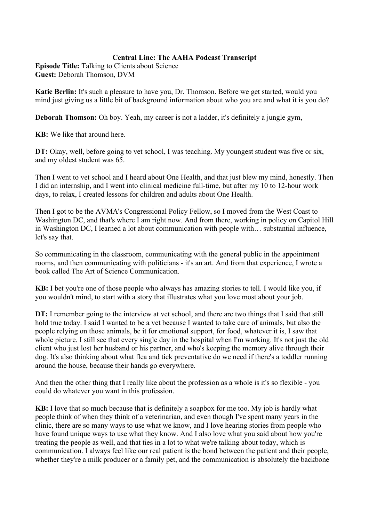## **Central Line: The AAHA Podcast Transcript**

**Episode Title:** Talking to Clients about Science **Guest:** Deborah Thomson, DVM

**Katie Berlin:** It's such a pleasure to have you, Dr. Thomson. Before we get started, would you mind just giving us a little bit of background information about who you are and what it is you do?

**Deborah Thomson:** Oh boy. Yeah, my career is not a ladder, it's definitely a jungle gym,

**KB:** We like that around here.

**DT:** Okay, well, before going to vet school, I was teaching. My youngest student was five or six, and my oldest student was 65.

Then I went to vet school and I heard about One Health, and that just blew my mind, honestly. Then I did an internship, and I went into clinical medicine full-time, but after my 10 to 12-hour work days, to relax, I created lessons for children and adults about One Health.

Then I got to be the AVMA's Congressional Policy Fellow, so I moved from the West Coast to Washington DC, and that's where I am right now. And from there, working in policy on Capitol Hill in Washington DC, I learned a lot about communication with people with… substantial influence, let's say that.

So communicating in the classroom, communicating with the general public in the appointment rooms, and then communicating with politicians - it's an art. And from that experience, I wrote a book called The Art of Science Communication.

**KB:** I bet you're one of those people who always has amazing stories to tell. I would like you, if you wouldn't mind, to start with a story that illustrates what you love most about your job.

**DT:** I remember going to the interview at vet school, and there are two things that I said that still hold true today. I said I wanted to be a vet because I wanted to take care of animals, but also the people relying on those animals, be it for emotional support, for food, whatever it is, I saw that whole picture. I still see that every single day in the hospital when I'm working. It's not just the old client who just lost her husband or his partner, and who's keeping the memory alive through their dog. It's also thinking about what flea and tick preventative do we need if there's a toddler running around the house, because their hands go everywhere.

And then the other thing that I really like about the profession as a whole is it's so flexible - you could do whatever you want in this profession.

**KB:** I love that so much because that is definitely a soapbox for me too. My job is hardly what people think of when they think of a veterinarian, and even though I've spent many years in the clinic, there are so many ways to use what we know, and I love hearing stories from people who have found unique ways to use what they know. And I also love what you said about how you're treating the people as well, and that ties in a lot to what we're talking about today, which is communication. I always feel like our real patient is the bond between the patient and their people, whether they're a milk producer or a family pet, and the communication is absolutely the backbone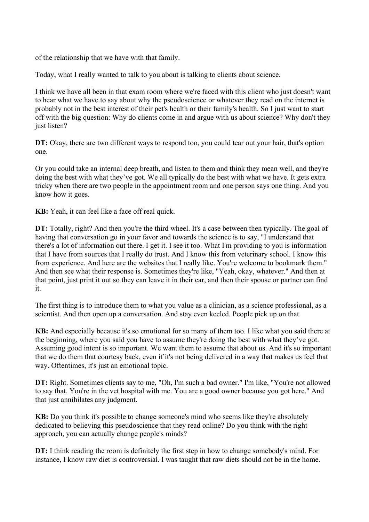of the relationship that we have with that family.

Today, what I really wanted to talk to you about is talking to clients about science.

I think we have all been in that exam room where we're faced with this client who just doesn't want to hear what we have to say about why the pseudoscience or whatever they read on the internet is probably not in the best interest of their pet's health or their family's health. So I just want to start off with the big question: Why do clients come in and argue with us about science? Why don't they just listen?

**DT:** Okay, there are two different ways to respond too, you could tear out your hair, that's option one.

Or you could take an internal deep breath, and listen to them and think they mean well, and they're doing the best with what they've got. We all typically do the best with what we have. It gets extra tricky when there are two people in the appointment room and one person says one thing. And you know how it goes.

**KB:** Yeah, it can feel like a face off real quick.

**DT:** Totally, right? And then you're the third wheel. It's a case between then typically. The goal of having that conversation go in your favor and towards the science is to say, "I understand that there's a lot of information out there. I get it. I see it too. What I'm providing to you is information that I have from sources that I really do trust. And I know this from veterinary school. I know this from experience. And here are the websites that I really like. You're welcome to bookmark them." And then see what their response is. Sometimes they're like, "Yeah, okay, whatever." And then at that point, just print it out so they can leave it in their car, and then their spouse or partner can find it.

The first thing is to introduce them to what you value as a clinician, as a science professional, as a scientist. And then open up a conversation. And stay even keeled. People pick up on that.

**KB:** And especially because it's so emotional for so many of them too. I like what you said there at the beginning, where you said you have to assume they're doing the best with what they've got. Assuming good intent is so important. We want them to assume that about us. And it's so important that we do them that courtesy back, even if it's not being delivered in a way that makes us feel that way. Oftentimes, it's just an emotional topic.

**DT:** Right. Sometimes clients say to me, "Oh, I'm such a bad owner." I'm like, "You're not allowed to say that. You're in the vet hospital with me. You are a good owner because you got here." And that just annihilates any judgment.

**KB:** Do you think it's possible to change someone's mind who seems like they're absolutely dedicated to believing this pseudoscience that they read online? Do you think with the right approach, you can actually change people's minds?

**DT:** I think reading the room is definitely the first step in how to change somebody's mind. For instance, I know raw diet is controversial. I was taught that raw diets should not be in the home.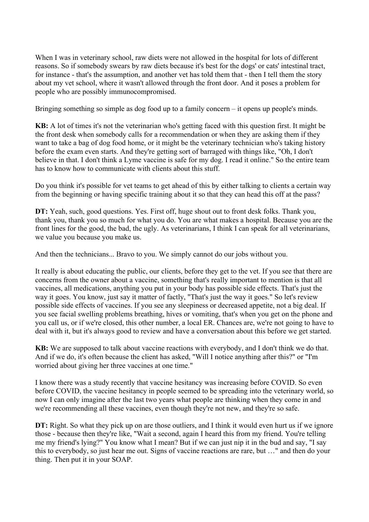When I was in veterinary school, raw diets were not allowed in the hospital for lots of different reasons. So if somebody swears by raw diets because it's best for the dogs' or cats' intestinal tract, for instance - that's the assumption, and another vet has told them that - then I tell them the story about my vet school, where it wasn't allowed through the front door. And it poses a problem for people who are possibly immunocompromised.

Bringing something so simple as dog food up to a family concern – it opens up people's minds.

**KB:** A lot of times it's not the veterinarian who's getting faced with this question first. It might be the front desk when somebody calls for a recommendation or when they are asking them if they want to take a bag of dog food home, or it might be the veterinary technician who's taking history before the exam even starts. And they're getting sort of barraged with things like, "Oh, I don't believe in that. I don't think a Lyme vaccine is safe for my dog. I read it online." So the entire team has to know how to communicate with clients about this stuff.

Do you think it's possible for vet teams to get ahead of this by either talking to clients a certain way from the beginning or having specific training about it so that they can head this off at the pass?

**DT:** Yeah, such, good questions. Yes. First off, huge shout out to front desk folks. Thank you, thank you, thank you so much for what you do. You are what makes a hospital. Because you are the front lines for the good, the bad, the ugly. As veterinarians, I think I can speak for all veterinarians, we value you because you make us.

And then the technicians... Bravo to you. We simply cannot do our jobs without you.

It really is about educating the public, our clients, before they get to the vet. If you see that there are concerns from the owner about a vaccine, something that's really important to mention is that all vaccines, all medications, anything you put in your body has possible side effects. That's just the way it goes. You know, just say it matter of factly, "That's just the way it goes." So let's review possible side effects of vaccines. If you see any sleepiness or decreased appetite, not a big deal. If you see facial swelling problems breathing, hives or vomiting, that's when you get on the phone and you call us, or if we're closed, this other number, a local ER. Chances are, we're not going to have to deal with it, but it's always good to review and have a conversation about this before we get started.

**KB:** We are supposed to talk about vaccine reactions with everybody, and I don't think we do that. And if we do, it's often because the client has asked, "Will I notice anything after this?" or "I'm worried about giving her three vaccines at one time."

I know there was a study recently that vaccine hesitancy was increasing before COVID. So even before COVID, the vaccine hesitancy in people seemed to be spreading into the veterinary world, so now I can only imagine after the last two years what people are thinking when they come in and we're recommending all these vaccines, even though they're not new, and they're so safe.

**DT:** Right. So what they pick up on are those outliers, and I think it would even hurt us if we ignore those - because then they're like, "Wait a second, again I heard this from my friend. You're telling me my friend's lying?" You know what I mean? But if we can just nip it in the bud and say, "I say this to everybody, so just hear me out. Signs of vaccine reactions are rare, but …" and then do your thing. Then put it in your SOAP.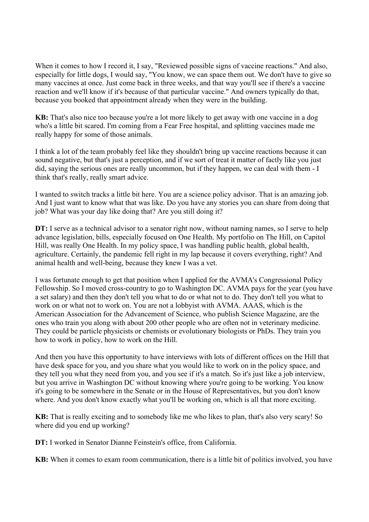When it comes to how I record it, I say, "Reviewed possible signs of vaccine reactions." And also, especially for little dogs, I would say, "You know, we can space them out. We don't have to give so many vaccines at once. Just come back in three weeks, and that way you'll see if there's a vaccine reaction and we'll know if it's because of that particular vaccine." And owners typically do that, because you booked that appointment already when they were in the building.

**KB:** That's also nice too because you're a lot more likely to get away with one vaccine in a dog who's a little bit scared. I'm coming from a Fear Free hospital, and splitting vaccines made me really happy for some of those animals.

I think a lot of the team probably feel like they shouldn't bring up vaccine reactions because it can sound negative, but that's just a perception, and if we sort of treat it matter of factly like you just did, saying the serious ones are really uncommon, but if they happen, we can deal with them - I think that's really, really smart advice.

I wanted to switch tracks a little bit here. You are a science policy advisor. That is an amazing job. And I just want to know what that was like. Do you have any stories you can share from doing that job? What was your day like doing that? Are you still doing it?

**DT:** I serve as a technical advisor to a senator right now, without naming names, so I serve to help advance legislation, bills, especially focused on One Health. My portfolio on The Hill, on Capitol Hill, was really One Health. In my policy space, I was handling public health, global health, agriculture. Certainly, the pandemic fell right in my lap because it covers everything, right? And animal health and well-being, because they knew I was a vet.

I was fortunate enough to get that position when I applied for the AVMA's Congressional Policy Fellowship. So I moved cross-country to go to Washington DC. AVMA pays for the year (you have a set salary) and then they don't tell you what to do or what not to do. They don't tell you what to work on or what not to work on. You are not a lobbyist with AVMA. AAAS, which is the American Association for the Advancement of Science, who publish Science Magazine, are the ones who train you along with about 200 other people who are often not in veterinary medicine. They could be particle physicists or chemists or evolutionary biologists or PhDs. They train you how to work in policy, how to work on the Hill.

And then you have this opportunity to have interviews with lots of different offices on the Hill that have desk space for you, and you share what you would like to work on in the policy space, and they tell you what they need from you, and you see if it's a match. So it's just like a job interview, but you arrive in Washington DC without knowing where you're going to be working. You know it's going to be somewhere in the Senate or in the House of Representatives, but you don't know where. And you don't know exactly what you'll be working on, which is all that more exciting.

**KB:** That is really exciting and to somebody like me who likes to plan, that's also very scary! So where did you end up working?

**DT:** I worked in Senator Dianne Feinstein's office, from California.

**KB:** When it comes to exam room communication, there is a little bit of politics involved, you have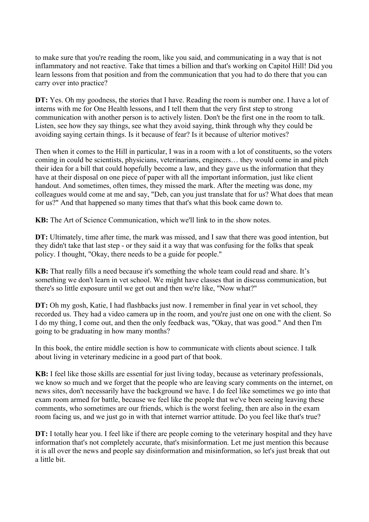to make sure that you're reading the room, like you said, and communicating in a way that is not inflammatory and not reactive. Take that times a billion and that's working on Capitol Hill! Did you learn lessons from that position and from the communication that you had to do there that you can carry over into practice?

**DT:** Yes. Oh my goodness, the stories that I have. Reading the room is number one. I have a lot of interns with me for One Health lessons, and I tell them that the very first step to strong communication with another person is to actively listen. Don't be the first one in the room to talk. Listen, see how they say things, see what they avoid saying, think through why they could be avoiding saying certain things. Is it because of fear? Is it because of ulterior motives?

Then when it comes to the Hill in particular, I was in a room with a lot of constituents, so the voters coming in could be scientists, physicians, veterinarians, engineers… they would come in and pitch their idea for a bill that could hopefully become a law, and they gave us the information that they have at their disposal on one piece of paper with all the important information, just like client handout. And sometimes, often times, they missed the mark. After the meeting was done, my colleagues would come at me and say, "Deb, can you just translate that for us? What does that mean for us?" And that happened so many times that that's what this book came down to.

**KB:** The Art of Science Communication, which we'll link to in the show notes.

**DT:** Ultimately, time after time, the mark was missed, and I saw that there was good intention, but they didn't take that last step - or they said it a way that was confusing for the folks that speak policy. I thought, "Okay, there needs to be a guide for people."

**KB:** That really fills a need because it's something the whole team could read and share. It's something we don't learn in vet school. We might have classes that in discuss communication, but there's so little exposure until we get out and then we're like, "Now what?"

**DT:** Oh my gosh, Katie, I had flashbacks just now. I remember in final year in vet school, they recorded us. They had a video camera up in the room, and you're just one on one with the client. So I do my thing, I come out, and then the only feedback was, "Okay, that was good." And then I'm going to be graduating in how many months?

In this book, the entire middle section is how to communicate with clients about science. I talk about living in veterinary medicine in a good part of that book.

**KB:** I feel like those skills are essential for just living today, because as veterinary professionals, we know so much and we forget that the people who are leaving scary comments on the internet, on news sites, don't necessarily have the background we have. I do feel like sometimes we go into that exam room armed for battle, because we feel like the people that we've been seeing leaving these comments, who sometimes are our friends, which is the worst feeling, then are also in the exam room facing us, and we just go in with that internet warrior attitude. Do you feel like that's true?

**DT:** I totally hear you. I feel like if there are people coming to the veterinary hospital and they have information that's not completely accurate, that's misinformation. Let me just mention this because it is all over the news and people say disinformation and misinformation, so let's just break that out a little bit.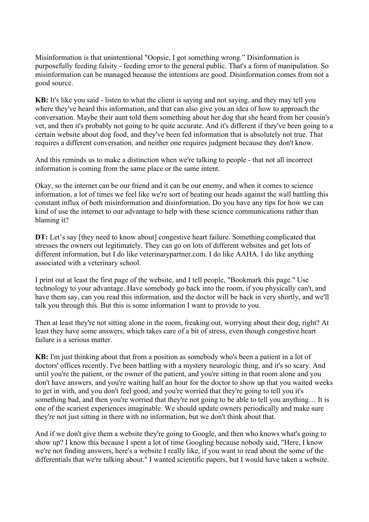Misinformation is that unintentional "Oopsie, I got something wrong." Disinformation is purposefully feeding falsity - feeding error to the general public. That's a form of manipulation. So misinformation can be managed because the intentions are good. Disinformation comes from not a good source.

**KB:** It's like you said - listen to what the client is saying and not saying, and they may tell you where they've heard this information, and that can also give you an idea of how to approach the conversation. Maybe their aunt told them something about her dog that she heard from her cousin's vet, and then it's probably not going to be quite accurate. And it's different if they've been going to a certain website about dog food, and they've been fed information that is absolutely not true. That requires a different conversation, and neither one requires judgment because they don't know.

And this reminds us to make a distinction when we're talking to people - that not all incorrect information is coming from the same place or the same intent.

Okay, so the internet can be our friend and it can be our enemy, and when it comes to science information, a lot of times we feel like we're sort of beating our heads against the wall battling this constant influx of both misinformation and disinformation. Do you have any tips for how we can kind of use the internet to our advantage to help with these science communications rather than blaming it?

**DT:** Let's say [they need to know about] congestive heart failure. Something complicated that stresses the owners out legitimately. They can go on lots of different websites and get lots of different information, but I do like veterinarypartner.com. I do like AAHA. I do like anything associated with a veterinary school.

I print out at least the first page of the website, and I tell people, "Bookmark this page." Use technology to your advantage. Have somebody go back into the room, if you physically can't, and have them say, can you read this information, and the doctor will be back in very shortly, and we'll talk you through this. But this is some information I want to provide to you.

Then at least they're not sitting alone in the room, freaking out, worrying about their dog, right? At least they have some answers, which takes care of a bit of stress, even though congestive heart failure is a serious matter.

**KB:** I'm just thinking about that from a position as somebody who's been a patient in a lot of doctors' offices recently. I've been battling with a mystery neurologic thing, and it's so scary. And until you're the patient, or the owner of the patient, and you're sitting in that room alone and you don't have answers, and you're waiting half an hour for the doctor to show up that you waited weeks to get in with, and you don't feel good, and you're worried that they're going to tell you it's something bad, and then you're worried that they're not going to be able to tell you anything… It is one of the scariest experiences imaginable. We should update owners periodically and make sure they're not just sitting in there with no information, but we don't think about that.

And if we don't give them a website they're going to Google, and then who knows what's going to show up? I know this because I spent a lot of time Googling because nobody said, "Here, I know we're not finding answers, here's a website I really like, if you want to read about the some of the differentials that we're talking about." I wanted scientific papers, but I would have taken a website.